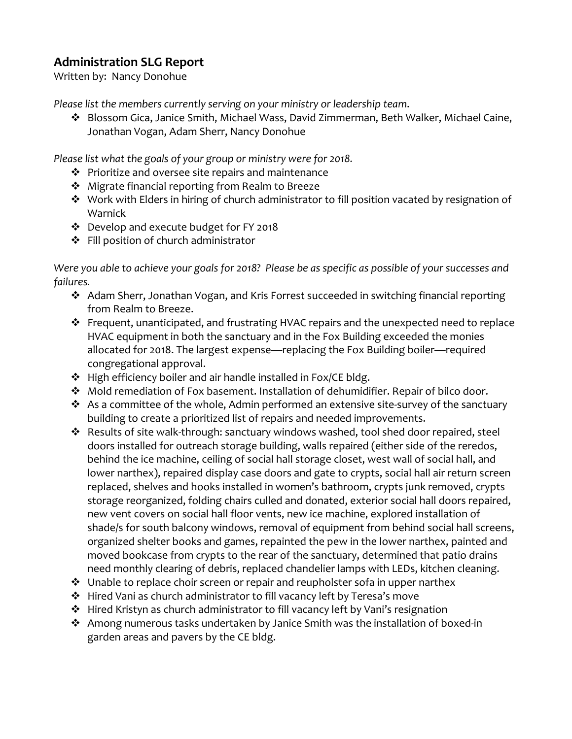## **Administration SLG Report**

Written by: Nancy Donohue

*Please list the members currently serving on your ministry or leadership team*.

 Blossom Gica, Janice Smith, Michael Wass, David Zimmerman, Beth Walker, Michael Caine, Jonathan Vogan, Adam Sherr, Nancy Donohue

*Please list what the goals of your group or ministry were for 2018.*

- $\cdot \cdot$  Prioritize and oversee site repairs and maintenance
- ❖ Migrate financial reporting from Realm to Breeze
- \* Work with Elders in hiring of church administrator to fill position vacated by resignation of Warnick
- Develop and execute budget for FY 2018
- ❖ Fill position of church administrator

*Were you able to achieve your goals for 2018? Please be as specific as possible of your successes and failures.*

- Adam Sherr, Jonathan Vogan, and Kris Forrest succeeded in switching financial reporting from Realm to Breeze.
- Frequent, unanticipated, and frustrating HVAC repairs and the unexpected need to replace HVAC equipment in both the sanctuary and in the Fox Building exceeded the monies allocated for 2018. The largest expense—replacing the Fox Building boiler—required congregational approval.
- High efficiency boiler and air handle installed in Fox/CE bldg.
- Mold remediation of Fox basement. Installation of dehumidifier. Repair of bilco door.
- $\cdot$  As a committee of the whole, Admin performed an extensive site-survey of the sanctuary building to create a prioritized list of repairs and needed improvements.
- \* Results of site walk-through: sanctuary windows washed, tool shed door repaired, steel doors installed for outreach storage building, walls repaired (either side of the reredos, behind the ice machine, ceiling of social hall storage closet, west wall of social hall, and lower narthex), repaired display case doors and gate to crypts, social hall air return screen replaced, shelves and hooks installed in women's bathroom, crypts junk removed, crypts storage reorganized, folding chairs culled and donated, exterior social hall doors repaired, new vent covers on social hall floor vents, new ice machine, explored installation of shade/s for south balcony windows, removal of equipment from behind social hall screens, organized shelter books and games, repainted the pew in the lower narthex, painted and moved bookcase from crypts to the rear of the sanctuary, determined that patio drains need monthly clearing of debris, replaced chandelier lamps with LEDs, kitchen cleaning.
- Unable to replace choir screen or repair and reupholster sofa in upper narthex
- Hired Vani as church administrator to fill vacancy left by Teresa's move
- Hired Kristyn as church administrator to fill vacancy left by Vani's resignation
- Among numerous tasks undertaken by Janice Smith was the installation of boxed-in garden areas and pavers by the CE bldg.